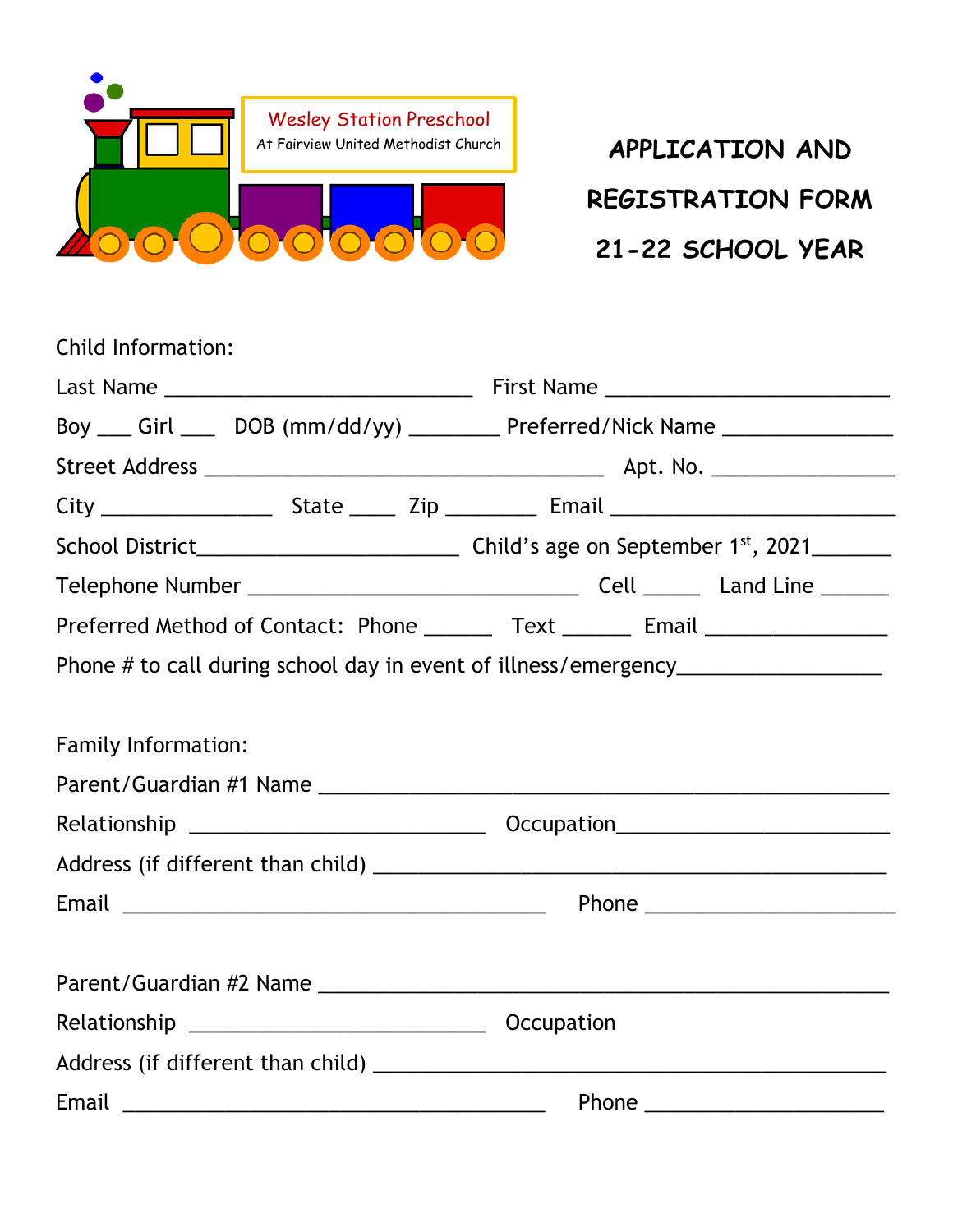

**REGISTRATION FORM 21-22 SCHOOL YEAR**

| Child Information:                                                               |  |  |                                                                                  |  |  |
|----------------------------------------------------------------------------------|--|--|----------------------------------------------------------------------------------|--|--|
|                                                                                  |  |  |                                                                                  |  |  |
|                                                                                  |  |  | Boy ___ Girl ____ DOB (mm/dd/yy) ________ Preferred/Nick Name _________________  |  |  |
|                                                                                  |  |  |                                                                                  |  |  |
|                                                                                  |  |  |                                                                                  |  |  |
|                                                                                  |  |  |                                                                                  |  |  |
|                                                                                  |  |  |                                                                                  |  |  |
| Preferred Method of Contact: Phone ________ Text _______ Email _________________ |  |  |                                                                                  |  |  |
|                                                                                  |  |  | Phone # to call during school day in event of illness/emergency_________________ |  |  |
|                                                                                  |  |  |                                                                                  |  |  |
| Family Information:                                                              |  |  |                                                                                  |  |  |
|                                                                                  |  |  |                                                                                  |  |  |
|                                                                                  |  |  |                                                                                  |  |  |
|                                                                                  |  |  |                                                                                  |  |  |
|                                                                                  |  |  |                                                                                  |  |  |
|                                                                                  |  |  |                                                                                  |  |  |
|                                                                                  |  |  |                                                                                  |  |  |
|                                                                                  |  |  |                                                                                  |  |  |
|                                                                                  |  |  |                                                                                  |  |  |
|                                                                                  |  |  |                                                                                  |  |  |